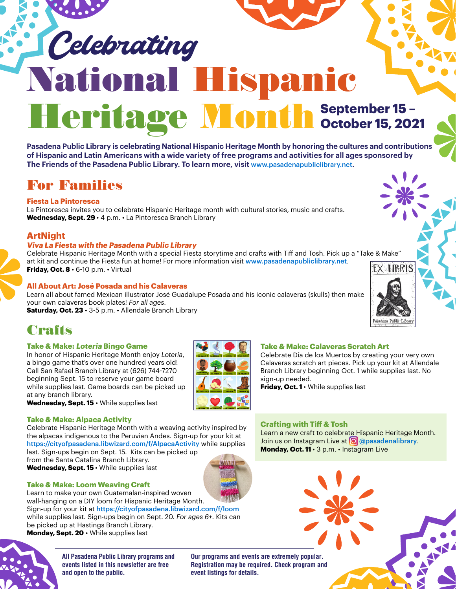# National Hispanic Heritage Month September 15-Celebrating

**Pasadena Public Library is celebrating National Hispanic Heritage Month by honoring the cultures and contributions of Hispanic and Latin Americans with a wide variety of free programs and activities for all ages sponsored by The Friends of the Pasadena Public Library. To learn more, visit** [www.pasadenapubliclibrary.net](http://www.pasadenapubliclibrary.net)**.**

# For Families

#### **Fiesta La Pintoresca**

La Pintoresca invites you to celebrate Hispanic Heritage month with cultural stories, music and crafts. **Wednesday, Sept. 29** • 4 p.m. • La Pintoresca Branch Library

### **ArtNight**

#### **Viva La Fiesta with the Pasadena Public Library**

Celebrate Hispanic Heritage Month with a special Fiesta storytime and crafts with Tiff and Tosh. Pick up a "Take & Make" art kit and continue the Fiesta fun at home! For more information visit [www.pasadenapubliclibrary.net](http://www.pasadenapubliclibrary.net). **Friday, Oct. 8** • 6-10 p.m. • Virtual

#### **All About Art: José Posada and his Calaveras**

Learn all about famed Mexican illustrator José Guadalupe Posada and his iconic calaveras (skulls) then make your own calaveras book plates! *For all ages.*

Saturday, Oct. 23 · 3-5 p.m. · Allendale Branch Library

# **Crafts**

#### **Take & Make: Loteria Bingo Game**

In honor of Hispanic Heritage Month enjoy *Loteria*, a bingo game that's over one hundred years old! Call San Rafael Branch Library at (626) 744-7270 beginning Sept. 15 to reserve your game board while supplies last. Game boards can be picked up at any branch library.



## **Take & Make: Calaveras Scratch Art**

Celebrate Día de los Muertos by creating your very own Calaveras scratch art pieces. Pick up your kit at Allendale Branch Library beginning Oct. 1 while supplies last. No sign-up needed.

**Friday, Oct. 1 ·** While supplies last

**Wednesday, Sept. 15** • While supplies last

#### **Take & Make: Alpaca Activity**

Celebrate Hispanic Heritage Month with a weaving activity inspired by the alpacas indigenous to the Peruvian Andes. Sign-up for your kit at <https://cityofpasadena.libwizard.com/f/AlpacaActivity> while supplies last. Sign-ups begin on Sept. 15. Kits can be picked up

from the Santa Catalina Branch Library. **Wednesday, Sept. 15** • While supplies last



#### **Take & Make: Loom Weaving Craft**

Learn to make your own Guatemalan-inspired woven wall-hanging on a DIY loom for Hispanic Heritage Month. Sign-up for your kit at [https://cityofpasadena.libwizard.com/f/loom](https://cityofpasadena.libwizard.com/f/loom )  while supplies last. Sign-ups begin on Sept. 20. *For ages 6+.* Kits can be picked up at Hastings Branch Library. **Monday, Sept. 20** • While supplies last



**All Pasadena Public Library programs and events listed in this newsletter are free and open to the public.** 

**Our programs and events are extremely popular. Registration may be required. Check program and event listings for details.**



Learn a new craft to celebrate Hispanic Heritage Month. Join us on Instagram Live at **O** [@pasadenalibrary](https://www.instagram.com/pasadenalibrary/?hl=en). **Monday, Oct. 11** • 3 p.m. • Instagram Live

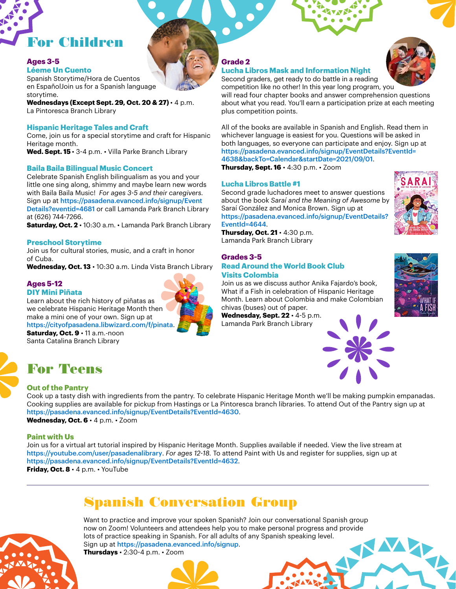

#### **Ages 3-5**

#### **Léeme Un Cuento**

Spanish Storytime/Hora de Cuentos en EspañolJoin us for a Spanish language storytime.

**Wednesdays (Except Sept. 29, Oct. 20 & 27)** • 4 p.m. La Pintoresca Branch Library

#### **Hispanic Heritage Tales and Craft**

Come, join us for a special storytime and craft for Hispanic Heritage month.

**Wed. Sept. 15** • 3-4 p.m. • Villa Parke Branch Library

#### **Baila Baila Bilingual Music Concert**

Celebrate Spanish English bilingualism as you and your little one sing along, shimmy and maybe learn new words with Baila Baila Music! *For ages 3-5 and their caregivers.*  Sign up at [https://pasadena.evanced.info/signup/Event](https://pasadena.evanced.info/signup/EventDetails?eventid=4681) [Details?eventid=4681](https://pasadena.evanced.info/signup/EventDetails?eventid=4681) or call Lamanda Park Branch Library at (626) 744-7266.

**Saturday, Oct. 2** • 10:30 a.m. • Lamanda Park Branch Library

#### **Preschool Storytime**

Join us for cultural stories, music, and a craft in honor of Cuba.

**Wednesday, Oct. 13** • 10:30 a.m. Linda Vista Branch Library

#### **Ages 5-12**

#### **DIY Mini Piñata**

Learn about the rich history of piñatas as we celebrate Hispanic Heritage Month then make a mini one of your own. Sign up at <https://cityofpasadena.libwizard.com/f/pinata>. **Saturday, Oct. 9** • 11 a.m.-noon

Santa Catalina Branch Library

## For Teens

#### **Out of the Pantry**

Cook up a tasty dish with ingredients from the pantry. To celebrate Hispanic Heritage Month we'll be making pumpkin empanadas. Cooking supplies are available for pickup from Hastings or La Pintoresca branch libraries. To attend Out of the Pantry sign up at <https://pasadena.evanced.info/signup/EventDetails?EventId=4630>. **Wednesday, Oct. 6** • 4 p.m. • Zoom

#### **Paint with Us**

Join us for a virtual art tutorial inspired by Hispanic Heritage Month. Supplies available if needed. View the live stream at <https://youtube.com/user/pasadenalibrary>. *For ages 12-18.* To attend Paint with Us and register for supplies, sign up at <https://pasadena.evanced.info/signup/EventDetails?EventId=4632>.

**Friday, Oct. 8** • 4 p.m. • YouTube

## Spanish Conversation Group

Want to practice and improve your spoken Spanish? Join our conversational Spanish group now on Zoom! Volunteers and attendees help you to make personal progress and provide lots of practice speaking in Spanish. For all adults of any Spanish speaking level. Sign up at <https://pasadena.evanced.info/signup>.

**Thursdays** • 2:30-4 p.m. • Zoom



#### **Grade 2**

#### **Lucha Libros Mask and Information Night**

Second graders, get ready to do battle in a reading competition like no other! In this year long program, you



will read four chapter books and answer comprehension questions about what you read. You'll earn a participation prize at each meeting plus competition points.

All of the books are available in Spanish and English. Read them in whichever language is easiest for you. Questions will be asked in both languages, so everyone can participate and enjoy. Sign up at [https://pasadena.evanced.info/signup/EventDetails?EventId=](https://pasadena.evanced.info/signup/EventDetails?EventId=4638&backTo=Calendar&startDate=2021/09/01) [4638&backTo=Calendar&startDate=2021/09/01](https://pasadena.evanced.info/signup/EventDetails?EventId=4638&backTo=Calendar&startDate=2021/09/01). **Thursday, Sept. 16** • 4:30 p.m. • Zoom

#### **Lucha Libros Battle #1**

Second grade luchadores meet to answer questions about the book *Saraí and the Meaning of Awesome* by Saraí González and Monica Brown. Sign up at [https://pasadena.evanced.info/signup/EventDetails?](https://pasadena.evanced.info/signup/EventDetails?EventId=4644&backTo=Calendar&startDate=2021/10/01) [EventId=4644](https://pasadena.evanced.info/signup/EventDetails?EventId=4644&backTo=Calendar&startDate=2021/10/01).

**Thursday, Oct. 21** • 4:30 p.m. Lamanda Park Branch Library

#### **Grades 3-5 Read Around the World Book Club Visits Colombia**

Join us as we discuss author Anika Fajardo's book, What if a Fish in celebration of Hispanic Heritage Month. Learn about Colombia and make Colombian chivas (buses) out of paper.

**Wednesday, Sept. 22** • 4-5 p.m. Lamanda Park Branch Library





Wh



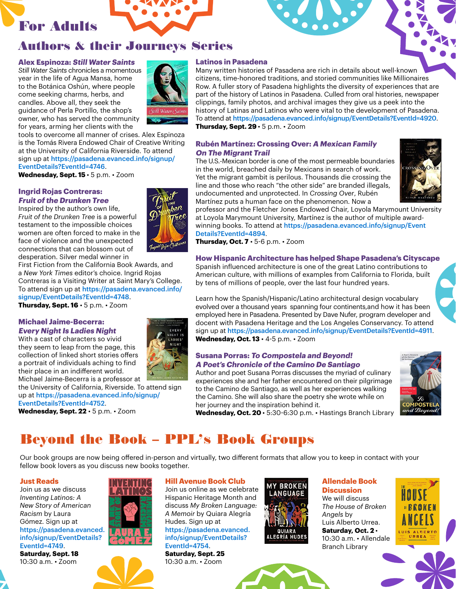

## Authors & their Journeys Series

#### **Alex Espinoza: Still Water Saints**

*Still Water Saints* chronicles a momentous year in the life of Agua Mansa, home to the Botánica Oshún, where people come seeking charms, herbs, and candles. Above all, they seek the guidance of Perla Portillo, the shop's owner, who has served the community for years, arming her clients with the

tools to overcome all manner of crises. Alex Espinoza is the Tomás Rivera Endowed Chair of Creative Writing at the University of California Riverside. To attend sign up at [https://pasadena.evanced.info/signup/](https://pasadena.evanced.info/signup/EventDetails?EventId=4746) [EventDetails?EventId=4746](https://pasadena.evanced.info/signup/EventDetails?EventId=4746).

**Wednesday, Sept. 15** • 5 p.m. • Zoom

#### **Ingrid Rojas Contreras: Fruit of the Drunken Tree**

Inspired by the author's own life, *Fruit of the Drunken Tree* is a powerful testament to the impossible choices women are often forced to make in the face of violence and the unexpected connections that can blossom out of desperation. Silver medal winner in

First Fiction from the California Book Awards, and a *New York Times* editor's choice. Ingrid Rojas Contreras is a Visiting Writer at Saint Mary's College. To attend sign up at [https://pasadena.evanced.info/](https://pasadena.evanced.info/signup/EventDetails?EventId=4748) [signup/EventDetails?EventId=4748](https://pasadena.evanced.info/signup/EventDetails?EventId=4748).

**Thursday, Sept. 16** • 5 p.m. • Zoom

#### **Michael Jaime-Becerra: Every Night Is Ladies Night**

With a cast of characters so vivid they seem to leap from the page, this collection of linked short stories offers a portrait of individuals aching to find their place in an indifferent world. Michael Jaime-Becerra is a professor at

the University of California, Riverside. To attend sign up at [https://pasadena.evanced.info/signup/](https://pasadena.evanced.info/signup/EventDetails?EventId=4752) [EventDetails?EventId=4752](https://pasadena.evanced.info/signup/EventDetails?EventId=4752).

**Wednesday, Sept. 22** • 5 p.m. • Zoom



#### **Latinos in Pasadena**

Many written histories of Pasadena are rich in details about well-known citizens, time-honored traditions, and storied communities like Millionaires Row. A fuller story of Pasadena highlights the diversity of experiences that are part of the history of Latinos in Pasadena. Culled from oral histories, newspaper clippings, family photos, and archival images they give us a peek into the history of Latinas and Latinos who were vital to the development of Pasadena. To attend at [https://pasadena.evanced.info/signup/EventDetails?EventId=4](https://pasadena.evanced.info/signup/EventDetails?EventId=)920. **Thursday, Sept. 29** • 5 p.m. • Zoom

#### **Rubén Martínez: Crossing Over: A Mexican Family On The Migrant Trail**

The U.S.-Mexican border is one of the most permeable boundaries in the world, breached daily by Mexicans in search of work. Yet the migrant gambit is perilous. Thousands die crossing the line and those who reach "the other side" are branded illegals, undocumented and unprotected. In *Crossing Over*, Rubén Martínez puts a human face on the phenomenon. Now a



professor and the Fletcher Jones Endowed Chair, Loyola Marymount University at Loyola Marymount University, Martínez is the author of multiple awardwinning books. To attend at [https://pasadena.evanced.info/signup/Event](https://pasadena.evanced.info/signup/EventDetails?EventId=4894) [Details?EventId=4894](https://pasadena.evanced.info/signup/EventDetails?EventId=4894).

**Thursday, Oct. 7** • 5-6 p.m. • Zoom

**How Hispanic Architecture has helped Shape Pasadena's Cityscape** Spanish influenced architecture is one of the great Latino contributions to American culture, with millions of examples from California to Florida, built by tens of millions of people, over the last four hundred years.

Learn how the Spanish/Hispanic/Latino architectural design vocabulary evolved over a thousand years spanning four continents,and how it has been employed here in Pasadena. Presented by Dave Nufer, program developer and docent with Pasadena Heritage and the Los Angeles Conservancy. To attend sign up at <https://pasadena.evanced.info/signup/EventDetails?EventId=4911>. **Wednesday, Oct. 13** • 4-5 p.m. • Zoom

#### **Susana Porras: To Compostela and Beyond! A Poet's Chronicle of the Camino De Santiago**

Author and poet Susana Porras discusses the myriad of culinary experiences she and her father encountered on their pilgrimage to the Camino de Santiago, as well as her experiences walking the Camino. She will also share the poetry she wrote while on her journey and the inspiration behind it.



**Wednesday, Oct. 20** • 5:30-6:30 p.m. • Hastings Branch Library

## Beyond the Book – PPL's Book Groups

Our book groups are now being offered in-person and virtually, two different formats that allow you to keep in contact with your fellow book lovers as you discuss new books together.

#### **Just Reads**

Join us as we discuss *Inventing Latinos: A New Story of American Racism* by Laura Gómez. Sign up at [https://pasadena.evanced.](https://pasadena.evanced.info/signup/EventDetails?EventId=4749) [info/signup/EventDetails?](https://pasadena.evanced.info/signup/EventDetails?EventId=4749) [EventId=4749](https://pasadena.evanced.info/signup/EventDetails?EventId=4749). **Saturday, Sept. 18**

10:30 a.m. • Zoom



#### **Hill Avenue Book Club**

Join us online as we celebrate Hispanic Heritage Month and discuss *My Broken Language: A Memoir* by Quiara Alegría Hudes. Sign up at [https://pasadena.evanced.](https://pasadena.evanced.info/signup/EventDetails?EventId=4754) [info/signup/EventDetails?](https://pasadena.evanced.info/signup/EventDetails?EventId=4754) [EventId=4754](https://pasadena.evanced.info/signup/EventDetails?EventId=4754). **Saturday, Sept. 25** 10:30 a.m. • Zoom



#### **Allendale Book Discussion** We will discuss *The House of Broken Angels* by Luis Alberto Urrea. **Saturday, Oct. 2** • 10:30 a.m. • Allendale Branch Library